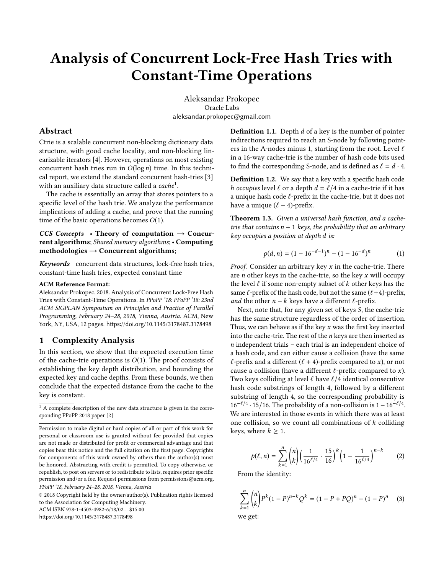# Analysis of Concurrent Lock-Free Hash Tries with Constant-Time Operations

Aleksandar Prokopec Oracle Labs aleksandar.prokopec@gmail.com

# Abstract

Ctrie is a scalable concurrent non-blocking dictionary data structure, with good cache locality, and non-blocking linearizable iterators [\[4\]](#page-8-0). However, operations on most existing concurrent hash tries run in  $O(\log n)$  time. In this technical report, we extend the standard concurrent hash-tries [\[3\]](#page-8-1) with an auxiliary data structure called a  $\it cache^1$  $\it cache^1$ .

The cache is essentially an array that stores pointers to a specific level of the hash trie. We analyze the performance implications of adding a cache, and prove that the running time of the basic operations becomes  $O(1)$ .

CCS Concepts • Theory of computation  $\rightarrow$  Concurrent algorithms; Shared memory algorithms; • Computing methodologies  $\rightarrow$  Concurrent algorithms;

Keywords concurrent data structures, lock-free hash tries, constant-time hash tries, expected constant time

#### ACM Reference Format:

Aleksandar Prokopec. 2018. Analysis of Concurrent Lock-Free Hash Tries with Constant-Time Operations. In PPoPP '18: PPoPP '18: 23nd ACM SIGPLAN Symposium on Principles and Practice of Parallel Programming, February 24–28, 2018, Vienna, Austria. ACM, New York, NY, USA, [12](#page-11-0) pages. <https://doi.org/10.1145/3178487.3178498>

# 1 Complexity Analysis

In this section, we show that the expected execution time of the cache-trie operations is  $O(1)$ . The proof consists of establishing the key depth distribution, and bounding the expected key and cache depths. From these bounds, we then conclude that the expected distance from the cache to the key is constant.

© 2018 Copyright held by the owner/author(s). Publication rights licensed to the Association for Computing Machinery.

ACM ISBN 978-1-4503-4982-6/18/02. . . \$15.00

<https://doi.org/10.1145/3178487.3178498>

<span id="page-0-1"></span>**Definition 1.1.** Depth  $d$  of a key is the number of pointer indirections required to reach an S-node by following pointers in the A-nodes minus 1, starting from the root. Level  $\ell$ in a 16-way cache-trie is the number of hash code bits used to find the corresponding S-node, and is defined as  $\ell = d \cdot 4$ .

Definition 1.2. We say that a key with a specific hash code *h* occupies level  $\ell$  or a depth  $d = \ell/4$  in a cache-trie if it has a unique hash code  $\ell$ -prefix in the cache-trie, but it does not have a unique  $(\ell - 4)$ -prefix.

Theorem 1.3. Given a universal hash function, and a cachetrie that contains  $n + 1$  keys, the probability that an arbitrary key occupies a position at depth d is:

$$
p(d, n) = (1 - 16^{-d-1})^n - (1 - 16^{-d})^n \tag{1}
$$

*Proof.* Consider an arbitrary key  $x$  in the cache-trie. There are  $n$  other keys in the cache-trie, so the key  $x$  will occupy the level  $\ell$  if some non-empty subset of  $k$  other keys has the same  $\ell$ -prefix of the hash code, but not the same  $(\ell + 4)$ -prefix, and the other  $n - k$  keys have a different  $\ell$ -prefix.

Next, note that, for any given set of keys S, the cache-trie has the same structure regardless of the order of insertion. Thus, we can behave as if the key  $x$  was the first key inserted into the cache-trie. The rest of the  $n$  keys are then inserted as n independent trials – each trial is an independent choice of a hash code, and can either cause a collision (have the same  $\ell$ -prefix and a different ( $\ell$  + 4)-prefix compared to x), or not cause a collision (have a different  $\ell$ -prefix compared to x). Two keys colliding at level  $\ell$  have  $\ell/4$  identical consecutive hash code substrings of length 4, followed by a different substring of length 4, so the corresponding probability is  $16^{-\ell/4} \cdot 15/16$ . The probability of a non-collision is  $1 - 16^{-\ell/4}$ . We are interested in those events in which there was at least one collision, so we count all combinations of  $k$  colliding keys, where  $k \geq 1$ .

$$
p(\ell, n) = \sum_{k=1}^{n} {n \choose k} \left(\frac{1}{16^{\ell/4}} \cdot \frac{15}{16}\right)^k \left(1 - \frac{1}{16^{\ell/4}}\right)^{n-k} \tag{2}
$$

From the identity:

$$
\sum_{k=1}^{n} {n \choose k} P^{k} (1-P)^{n-k} Q^{k} = (1 - P + PQ)^{n} - (1 - P)^{n}
$$
 (3)  
we get:

<span id="page-0-0"></span> $1$  A complete description of the new data structure is given in the corresponding PPoPP 2018 paper [\[2\]](#page-8-2)

Permission to make digital or hard copies of all or part of this work for personal or classroom use is granted without fee provided that copies are not made or distributed for profit or commercial advantage and that copies bear this notice and the full citation on the first page. Copyrights for components of this work owned by others than the author(s) must be honored. Abstracting with credit is permitted. To copy otherwise, or republish, to post on servers or to redistribute to lists, requires prior specific permission and/or a fee. Request permissions from permissions@acm.org. PPoPP '18, February 24–28, 2018, Vienna, Austria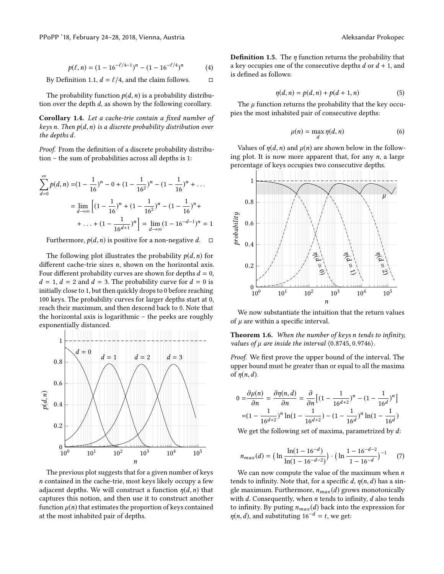$$
p(\ell, n) = (1 - 16^{-\ell/4 - 1})^n - (1 - 16^{-\ell/4})^n \tag{4}
$$

By Definition [1.1,](#page-0-1)  $d = \ell/4$ , and the claim follows.  $\Box$ 

The probability function  $p(d, n)$  is a probability distribution over the depth d, as shown by the following corollary.

Corollary 1.4. Let a cache-trie contain a fixed number of keys n. Then  $p(d, n)$  is a discrete probability distribution over the depths d.

Proof. From the definition of a discrete probability distribution – the sum of probabilities across all depths is 1:

$$
\sum_{d=0}^{\infty} p(d,n) = (1 - \frac{1}{16})^n - 0 + (1 - \frac{1}{16^2})^n - (1 - \frac{1}{16})^n + \dots
$$

$$
= \lim_{d \to \infty} \left[ (1 - \frac{1}{16})^n + (1 - \frac{1}{16^2})^n - (1 - \frac{1}{16})^n + \dots + (1 - \frac{1}{16^{d+1}})^n \right] = \lim_{d \to \infty} (1 - 16^{-d-1})^n = 1
$$

Furthermore,  $p(d, n)$  is positive for a non-negative d.  $\square$ 

The following plot illustrates the probability  $p(d, n)$  for different cache-trie sizes *n*, shown on the horizontal axis. Four different probability curves are shown for depths  $d = 0$ ,  $d = 1, d = 2$  and  $d = 3$ . The probability curve for  $d = 0$  is initially close to 1, but then quickly drops to 0 before reaching 100 keys. The probability curves for larger depths start at 0, reach their maximum, and then descend back to 0. Note that the horizontal axis is logarithmic – the peeks are roughly exponentially distanced.



The previous plot suggests that for a given number of keys n contained in the cache-trie, most keys likely occupy a few adjacent depths. We will construct a function  $\eta(d, n)$  that captures this notion, and then use it to construct another function  $\mu(n)$  that estimates the proportion of keys contained at the most inhabited pair of depths.

**Definition 1.5.** The  $\eta$  function returns the probability that a key occupies one of the consecutive depths  $d$  or  $d + 1$ , and is defined as follows:

$$
\eta(d, n) = p(d, n) + p(d+1, n) \tag{5}
$$

The  $\mu$  function returns the probability that the key occu-<br>es the most inhabited pair of consecutive denths: pies the most inhabited pair of consecutive depths:

$$
\mu(n) = \max_{d} \eta(d, n) \tag{6}
$$

Values of  $\eta(d, n)$  and  $\mu(n)$  are shown below in the following plot. It is now more apparent that, for any  $n$ , a large percentage of keys occupies two consecutive depths.



We now substantiate the intuition that the return values of  $\mu$  are within a specific interval.

<span id="page-1-0"></span>Theorem 1.6. When the number of keys n tends to infinity, values of  $\mu$  are inside the interval  $(0.8745, 0.9746)$ .

Proof. We first prove the upper bound of the interval. The upper bound must be greater than or equal to all the maxima of  $\eta(n,d)$ .

$$
0 = \frac{\partial \mu(n)}{\partial n} = \frac{\partial \eta(n, d)}{\partial n} = \frac{\partial}{\partial n} \left[ (1 - \frac{1}{16^{d+2}})^n - (1 - \frac{1}{16^d})^n \right]
$$

$$
= (1 - \frac{1}{16^{d+2}})^n \ln(1 - \frac{1}{16^{d+2}}) - (1 - \frac{1}{16^d})^n \ln(1 - \frac{1}{16^d})
$$

We get the following set of maxima, parametrized by  $d$ :

$$
n_{max}(d) = \left(\ln \frac{\ln(1 - 16^{-d})}{\ln(1 - 16^{-d-2})}\right) \cdot \left(\ln \frac{1 - 16^{-d-2}}{1 - 16^{-d}}\right)^{-1} \tag{7}
$$

We can now compute the value of the maximum when  $n$ tends to infinity. Note that, for a specific d,  $\eta(n, d)$  has a single maximum. Furthermore,  $n_{max}(d)$  grows monotonically with  $d$ . Consequently, when  $n$  tends to infinity,  $d$  also tends to infinity. By puting  $n_{max}(d)$  back into the expression for  $\eta(n, d)$ , and substituting 16<sup>-d</sup> = t, we get: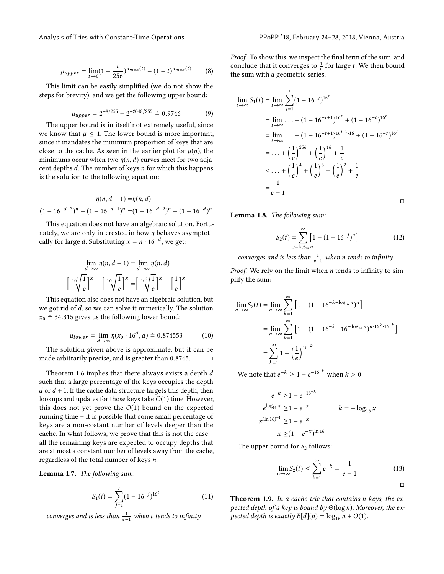$$
\mu_{upper} = \lim_{t \to 0} \left(1 - \frac{t}{256}\right)^{n_{max}(t)} - \left(1 - t\right)^{n_{max}(t)} \tag{8}
$$

This limit can be easily simplified (we do not show the steps for brevity), and we get the following upper bound:

$$
\mu_{upper} = 2^{-8/255} - 2^{-2048/255} = 0.9746 \tag{9}
$$

The upper bound is in itself not extremely useful, since we know that  $\mu \leq 1$ . The lower bound is more important, since it mandates the minimum proportion of keys that are close to the cache. As seen in the earlier plot for  $\mu(n)$ , the minimums occur when two  $\eta(n, d)$  curves meet for two adjacent depths d. The number of keys n for which this happens is the solution to the following equation:

$$
\eta(n, d+1) = \eta(n, d)
$$
  

$$
(1 - 16^{-d-3})^n - (1 - 16^{-d-1})^n = (1 - 16^{-d-2})^n - (1 - 16^{-d})^n
$$

This equation does not have an algebraic solution. Fortunately, we are only interested in how  $\eta$  behaves asymptotically for large d. Substituting  $x = n \cdot 16^{-d}$ , we get:

$$
\lim_{d \to \infty} \eta(n, d+1) = \lim_{d \to \infty} \eta(n, d)
$$

$$
\left[ \sqrt[16^3]{\frac{1}{e}} \right]^x - \left[ \sqrt[16^1]{\frac{1}{e}} \right]^x = \left[ \sqrt[16^2]{\frac{1}{e}} \right]^x - \left[ \frac{1}{e} \right]^x
$$

.<br>This equation also does not have an algebraic solution, but we got rid of d, so we can solve it numerically. The solution  $x_0 \doteq 34.315$  gives us the following lower bound:

$$
\mu_{lower} = \lim_{d \to \infty} \eta(x_0 \cdot 16^d, d) = 0.874553 \tag{10}
$$

The solution given above is approximate, but it can be made arbitrarily precise, and is greater than  $0.8745$ .  $□$ 

Theorem [1.6](#page-1-0) implies that there always exists a depth d such that a large percentage of the keys occupies the depth  $d$  or  $d + 1$ . If the cache data structure targets this depth, then lookups and updates for those keys take  $O(1)$  time. However, this does not yet prove the  $O(1)$  bound on the expected running time – it is possible that some small percentage of keys are a non-costant number of levels deeper than the cache. In what follows, we prove that this is not the case – all the remaining keys are expected to occupy depths that are at most a constant number of levels away from the cache, regardless of the total number of keys n.

<span id="page-2-0"></span>Lemma 1.7. The following sum:

$$
S_1(t) = \sum_{j=1}^{t} (1 - 16^{-j})^{16^t}
$$
 (11)

converges and is less than  $\frac{1}{e-1}$  when t tends to infinity.

Proof. To show this, we inspect the final term of the sum, and conclude that it converges to  $\frac{1}{e}$  for large t. We then bound<br>the sum with a geometric series the sum with a geometric series.

$$
\lim_{t \to \infty} S_1(t) = \lim_{t \to \infty} \sum_{j=1}^t (1 - 16^{-j})^{16^t}
$$
\n
$$
= \lim_{t \to \infty} \dots + (1 - 16^{-t+1})^{16^t} + (1 - 16^{-t})^{16^t}
$$
\n
$$
= \lim_{t \to \infty} \dots + (1 - 16^{-t+1})^{16^{t-1} \cdot 16} + (1 - 16^{-t})^{16^t}
$$
\n
$$
= \dots + \left(\frac{1}{e}\right)^{256} + \left(\frac{1}{e}\right)^{16} + \frac{1}{e}
$$
\n
$$
< \dots + \left(\frac{1}{e}\right)^4 + \left(\frac{1}{e}\right)^3 + \left(\frac{1}{e}\right)^2 + \frac{1}{e}
$$
\n
$$
= \frac{1}{e - 1}
$$

□

<span id="page-2-1"></span>Lemma 1.8. The following sum:

$$
S_2(t) = \sum_{j=\log_{16} n}^{\infty} \left[ 1 - (1 - 16^{-j})^n \right]
$$
 (12)

converges and is less than  $\frac{1}{e-1}$  when n tends to infinity.

*Proof.* We rely on the limit when  $n$  tends to infinity to simplify the sum:

$$
\lim_{n \to \infty} S_2(t) = \lim_{n \to \infty} \sum_{k=1}^{\infty} \left[ 1 - (1 - 16^{-k - \log_{16} n})^n \right]
$$

$$
= \lim_{n \to \infty} \sum_{k=1}^{\infty} \left[ 1 - (1 - 16^{-k} \cdot 16^{-\log_{16} n})^{n \cdot 16^k \cdot 16^{-k}} \right]
$$

$$
= \sum_{k=1}^{\infty} 1 - \left(\frac{1}{e}\right)^{16^{-k}}
$$

We note that  $e^{-k}$  ≥ 1 –  $e^{-16^{-k}}$  when  $k > 0$ :

$$
e^{-k} \ge 1 - e^{-16^{-k}}
$$
  
\n
$$
e^{\log_{16} x} \ge 1 - e^{-x}
$$
  
\n
$$
k = -\log_{16} x
$$
  
\n
$$
k = -\log_{16} x
$$
  
\n
$$
k = \log_{16} x
$$
  
\n
$$
x \ge (1 - e^{-x})^{\ln 16}
$$

The upper bound for  $S_2$  follows:

$$
\lim_{n \to \infty} S_2(t) \le \sum_{k=1}^{\infty} e^{-k} = \frac{1}{e-1}
$$
\n(13)

<span id="page-2-2"></span>Theorem 1.9. In a cache-trie that contains n keys, the expected depth of a key is bound by  $\Theta(\log n)$ . Moreover, the expected depth is exactly  $E[d](n) = \log_{16} n + O(1)$ .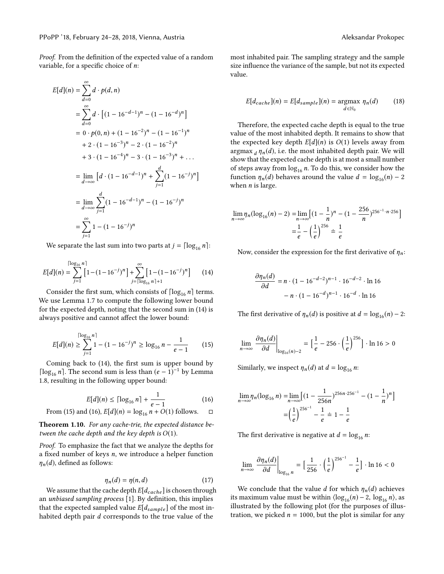Proof. From the definition of the expected value of a random variable, for a specific choice of  $n$ .

$$
E[d](n) = \sum_{d=0}^{\infty} d \cdot p(d, n)
$$
  
= 
$$
\sum_{d=0}^{\infty} d \cdot [(1 - 16^{-d-1})^n - (1 - 16^{-d})^n]
$$
  
= 
$$
0 \cdot p(0, n) + (1 - 16^{-2})^n - (1 - 16^{-1})^n
$$
  
+ 
$$
2 \cdot (1 - 16^{-3})^n - 2 \cdot (1 - 16^{-2})^n
$$
  
+ 
$$
3 \cdot (1 - 16^{-4})^n - 3 \cdot (1 - 16^{-3})^n + ...
$$
  
= 
$$
\lim_{d \to \infty} [d \cdot (1 - 16^{-d-1})^n + \sum_{j=1}^d (1 - 16^{-j})^n]
$$
  
= 
$$
\lim_{d \to \infty} \sum_{j=1}^d (1 - 16^{-d-1})^n - (1 - 16^{-j})^n
$$
  
= 
$$
\sum_{j=1}^{\infty} 1 - (1 - 16^{-j})^n
$$

We separate the last sum into two parts at  $j = \lceil \log_{16} n \rceil$ :

<span id="page-3-0"></span>
$$
E[d](n) = \sum_{j=1}^{\lceil \log_{16} n \rceil} \left[ 1 - (1 - 16^{-j})^n \right] + \sum_{j=\lceil \log_{16} n \rceil + 1}^{\infty} \left[ 1 - (1 - 16^{-j})^n \right] \tag{14}
$$

Consider the first sum, which consists of  $\lceil \log_{16} n \rceil$  terms. We use Lemma [1.7](#page-2-0) to compute the following lower bound for the expected depth, noting that the second sum in [\(14\)](#page-3-0) is always positive and cannot affect the lower bound:

<span id="page-3-1"></span>
$$
E[d](n) \ge \sum_{j=1}^{\lceil \log_{16} n \rceil} 1 - (1 - 16^{-j})^n \ge \log_{16} n - \frac{1}{e - 1} \tag{15}
$$

Coming back to [\(14\)](#page-3-0), the first sum is upper bound by [ $\log_{16} n$ ]. The second sum is less than  $(e-1)^{-1}$  by Lemma [1.8,](#page-2-1) resulting in the following upper bound:

<span id="page-3-2"></span>
$$
E[d](n) \leq \lceil \log_{16} n \rceil + \frac{1}{e - 1}
$$
 (16)  
d (16),  $E[d](n) = \log_{16} n + O(1)$  follows.  $\Box$ 

From (15) and (16), 
$$
E[d](n) = \log_{16} n + O(1)
$$
 follows.  $\Box$ 

<span id="page-3-3"></span>Theorem 1.10. For any cache-trie, the expected distance between the cache depth and the key depth is  $O(1)$ .

Proof. To emphasize the fact that we analyze the depths for a fixed number of keys  $n$ , we introduce a helper function  $\eta_n(d)$ , defined as follows:

$$
\eta_n(d) = \eta(n, d) \tag{17}
$$

We assume that the cache depth  $E[d_{cache}]$  is chosen through unbiased sampling process [1]. By definition, this implies an unbiased sampling process [\[1\]](#page-8-3). By definition, this implies that the expected sampled value  $E[d_{sample}]$  of the most inhabited depth pair d corresponds to the true value of the

most inhabited pair. The sampling strategy and the sample size influence the variance of the sample, but not its expected value.

$$
E[d_{cache}](n) = E[d_{sample}](n) = \underset{d \in \mathbb{N}_0}{\operatorname{argmax}} \ \eta_n(d) \tag{18}
$$

Therefore, the expected cache depth is equal to the true value of the most inhabited depth. It remains to show that the expected key depth  $E[d](n)$  is  $O(1)$  levels away from  $\argmax_d \eta_n(d)$ , i.e. the most inhabited depth pair. We will<br>show that the expected cache depth is at most a small number show that the expected cache depth is at most a small number of steps away from  $\log_{16} n$ . To do this, we consider how the function  $\eta_n(d)$  behaves around the value  $d = \log_{16}(n) - 2$ when  $n$  is large.

$$
\lim_{n \to \infty} \eta_n (\log_{16}(n) - 2) = \lim_{n \to \infty} \left[ (1 - \frac{1}{n})^n - (1 - \frac{256}{n})^{256^{-1} \cdot n \cdot 256} \right]
$$

$$
= \frac{1}{e} - \left( \frac{1}{e} \right)^{256} = \frac{1}{e}
$$

Now, consider the expression for the first derivative of  $\eta_n$ :

$$
\frac{\partial \eta_n(d)}{\partial d} = n \cdot (1 - 16^{-d-2})^{n-1} \cdot 16^{-d-2} \cdot \ln 16
$$

$$
- n \cdot (1 - 16^{-d})^{n-1} \cdot 16^{-d} \cdot \ln 16
$$

The first derivative of  $\eta_n(d)$  is positive at  $d = \log_{16}(n) - 2$ :

$$
\lim_{n \to \infty} \frac{\partial \eta_n(d)}{\partial d} \bigg|_{\log_{16}(n)-2} = \Big[\frac{1}{e} - 256 \cdot \left(\frac{1}{e}\right)^{256}\Big] \cdot \ln 16 > 0
$$

Similarly, we inspect  $\eta_n(d)$  at  $d = \log_{16} n$ :

$$
\lim_{n \to \infty} \eta_n(\log_{16} n) = \lim_{n \to \infty} \left[ \left( 1 - \frac{1}{256n} \right)^{256n \cdot 256^{-1}} - \left( 1 - \frac{1}{n} \right)^n \right]
$$

$$
= \left( \frac{1}{e} \right)^{256^{-1}} - \frac{1}{e} = 1 - \frac{1}{e}
$$

The first derivative is negative at  $d = \log_{16} n$ :

$$
\lim_{n \to \infty} \frac{\partial \eta_n(d)}{\partial d} \bigg|_{\log_{16} n} = \Big[\frac{1}{256} \cdot \Big(\frac{1}{e}\Big)^{256^{-1}} - \frac{1}{e}\Big] \cdot \ln 16 < 0
$$

We conclude that the value d for which  $\eta_n(d)$  achieves its maximum value must be within  $\langle \log_{16}(n) - 2, \log_{16} n \rangle$ , as illustrated by the following plot (for the purposes of illustration, we picked  $n = 1000$ , but the plot is similar for any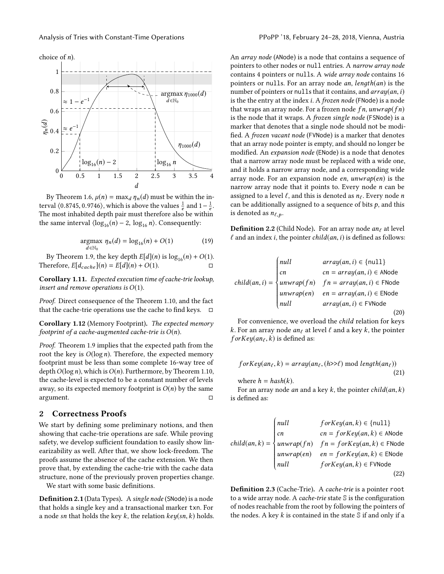choice of  $n$ ).



By Theorem [1.6,](#page-1-0)  $\mu(n) = \max_d \eta_n(d)$  must be within the in-<br>yeal (0.8745, 0.9746), which is above the values  $\frac{1}{4}$  and  $1-\frac{1}{4}$ terval  $(0.8745, 0.9746)$ , which is above the values  $\frac{1}{e}$  and  $1-\frac{1}{e}$ .<br>The most inhabited denth pair must therefore also be within The most inhabited depth pair must therefore also be within the same interval  $\langle \log_{16}(n) - 2, \log_{16} n \rangle$ . Consequently:

$$
\underset{d \in \mathbb{N}_0}{\operatorname{argmax}} \ \eta_n(d) = \log_{16}(n) + O(1) \tag{19}
$$

By Theorem [1.9,](#page-2-2) the key depth  $E[d](n)$  is  $log_{16}(n) + O(1)$ .<br>exercise  $E[d] \rightarrow \Gamma[d](n) + O(1)$ . Therefore,  $E[d_{cache}](n) = E[d](n) + O(1)$ .

Corollary 1.11. Expected execution time of cache-trie lookup, insert and remove operations is  $O(1)$ .

Proof. Direct consequence of the Theorem [1.10,](#page-3-3) and the fact that the cache-trie operations use the cache to find keys.  $\square$ 

Corollary 1.12 (Memory Footprint). The expected memory footprint of a cache-augmented cache-trie is  $O(n)$ .

Proof. Theorem [1.9](#page-2-2) implies that the expected path from the root the key is  $O(\log n)$ . Therefore, the expected memory footprint must be less than some complete 16-way tree of depth  $O(\log n)$ , which is  $O(n)$ . Furthermore, by Theorem [1.10,](#page-3-3) the cache-level is expected to be a constant number of levels away, so its expected memory footprint is  $O(n)$  by the same argument.  $\square$ argument. □

# 2 Correctness Proofs

We start by defining some preliminary notions, and then showing that cache-trie operations are safe. While proving safety, we develop sufficient foundation to easily show linearizability as well. After that, we show lock-freedom. The proofs assume the absence of the cache extension. We then prove that, by extending the cache-trie with the cache data structure, none of the previously proven properties change.

We start with some basic definitions.

Definition 2.1 (Data Types). A single node (SNode) is a node that holds a single key and a transactional marker txn. For a node sn that holds the key  $k$ , the relation  $key(sn, k)$  holds. An array node (ANode) is a node that contains a sequence of pointers to other nodes or null entries. A narrow array node contains 4 pointers or nulls. A wide array node contains 16 pointers or nulls. For an array node an, lenдth(an) is the number of pointers or nulls that it contains, and  $array(an, i)$ is the the entry at the index i. A frozen node (FNode) is a node that wraps an array node. For a frozen node  $fn$ , unwrap( $fn$ ) is the node that it wraps. A *frozen single node* (FSNode) is a marker that denotes that a single node should not be modified. A frozen vacant node (FVNode) is a marker that denotes that an array node pointer is empty, and should no longer be modified. An expansion node (ENode) is a node that denotes that a narrow array node must be replaced with a wide one, and it holds a narrow array node, and a corresponding wide array node. For an expansion node  $en$ ,  $unwrap(en)$  is the narrow array node that it points to. Every node  $n$  can be assigned to a level  $\ell$ , and this is denoted as  $n_{\ell}$ . Every node n can be additionally assigned to a sequence of bits  $p$ , and this is denoted as  $n_{\ell, p}$ .

**Definition 2.2** (Child Node). For an array node  $an_\ell$  at level  $\ell$  and an index i, the pointer child(an, i) is defined as follows:

$$
child(an, i) = \begin{cases} null & array(an, i) \in \{null\} \\ cn & cn = array(an, i) \in \text{ANode} \\ unwrap(fn) & fn = array(an, i) \in \text{FNode} \\ unwrap(en) & en = array(an, i) \in \text{ENode} \\ null & array(an, i) \in \text{FVNode} \end{cases}
$$
(20)

For convenience, we overload the child relation for keys k. For an array node an<sub>ℓ</sub> at level  $\ell$  and a key  $k$ , the pointer  $for Key(an_\ell, k)$  is defined as:

$$
for Key(an_{\ell}, k) = array(an_{\ell}, (h>>\ell) \text{ mod } length(an_{\ell}))
$$
  
(21)  
where  $h = hash(k)$ .

For an array node *an* and a key  $k$ , the pointer *child*(*an*,  $k$ ) is defined as:

$$
child(an, k) = \begin{cases} null & \text{for} Key(an, k) \in \{\text{null}\} \\ cn & \text{cn} = \text{for} Key(an, k) \in \text{ANode} \\ unwrap(fn) & \text{fn} = \text{for} Key(an, k) \in \text{FNode} \\ unwrap(en) & \text{en} = \text{for} Key(an, k) \in \text{FNode} \\ null & \text{for} Key(an, k) \in \text{FVNode} \end{cases}
$$
(22)

Definition 2.3 (Cache-Trie). A cache-trie is a pointer root to a wide array node. A cache-trie state S is the configuration of nodes reachable from the root by following the pointers of the nodes. A key  $k$  is contained in the state  $\mathbb S$  if and only if a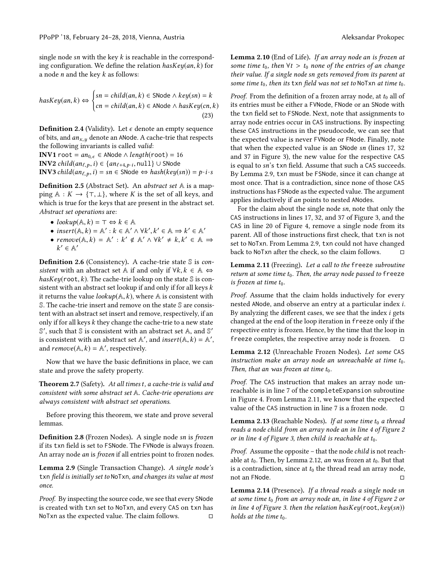single node sn with the key  $k$  is reachable in the corresponding configuration. We define the relation  $hasKey(an, k)$  for a node *n* and the key  $k$  as follows:

$$
hasKey(an, k) \Leftrightarrow \begin{cases} sn = child(an, k) \in \text{SNode} \land key(sn) = k \\ cn = child(an, k) \in \text{ANode} \land hasKey(cn, k) \end{cases} \tag{23}
$$

**Definition 2.4** (Validity). Let  $\epsilon$  denote an empty sequence of bits, and  $a_n x, y$  denote an ANode. A cache-trie that respects the following invariants is called valid:

**INV1** root =  $an_{0,\epsilon} \in$  ANode  $\wedge length(root) = 16$ **INV2** child(an<sub>ℓ, p</sub>, i) ∈ {an<sub>ℓ+4,p</sub>,<sub>i</sub>, null}∪ SNode<br>**INV3** child(an↓, \_i) = sn ∈ SNode ⇔ hash(key(s **INV3** child $(an_{\ell,p},i) = sn \in$  SNode  $\Leftrightarrow hash(key(sn)) = p \cdot i \cdot s$ 

Definition 2.5 (Abstract Set). An abstract set A is a mapping  $A : K \to \{\top, \bot\}$ , where K is the set of all keys, and which is true for the keys that are present in the abstract set. Abstract set operations are:

- $lookup(A, k) = \top \Leftrightarrow k \in \mathbb{A}$
- insert $(A, k) = A' : k \in A' \land \forall k', k' \in A \Rightarrow k' \in A'$ <br>• remove( $A \models b = A' \cdot k' \notin A' \land \forall k' + k \not k' \in A$
- remove $(A, k) = A' : k' \notin A' \land \forall k' \neq k, k' \in A \Rightarrow k' \in A'$  $' \in \mathbb{A}'$

**Definition 2.6** (Consistency). A cache-trie state  $\mathbb{S}$  is consistent with an abstract set A if and only if  $\forall k, k \in \mathbb{A} \Leftrightarrow$  $hasKey(root, k)$ . The cache-trie lookup on the state  $\mathcal S$  is consistent with an abstract set lookup if and only if for all keys k it returns the value *lookup*( $\mathbb{A}, k$ ), where  $\mathbb{A}$  is consistent with S. The cache-trie insert and remove on the state S are consistent with an abstract set insert and remove, respectively, if an only if for all keys  $k$  they change the cache-trie to a new state  $\mathbb{S}'$  , such that  $\mathbb{S}$  is consistent with an abstract set  $\mathbb{A},$  and  $\mathbb{S}'$ is consistent with an abstract set  $\mathbb{A}'$ , and insert $(\mathbb{A}, k) = \mathbb{A}'$ , and remove( $\mathbb{A} \mid k$ ) –  $\mathbb{A}'$ , respectively and  $remove(\mathbb{A}, k) = \mathbb{A}'$ , respectively.

Now that we have the basic definitions in place, we can state and prove the safety property.

<span id="page-5-5"></span>**Theorem 2.7** (Safety). At all times t, a cache-trie is valid and consistent with some abstract set A. Cache-trie operations are always consistent with abstract set operations.

Before proving this theorem, we state and prove several lemmas.

Definition 2.8 (Frozen Nodes). A single node sn is frozen if its txn field is set to FSNode. The FVNode is always frozen. An array node an is frozen if all entries point to frozen nodes.

<span id="page-5-0"></span>Lemma 2.9 (Single Transaction Change). A single node's txn field is initially set to NoTxn, and changes its value at most once.

Proof. By inspecting the source code, we see that every SNode is created with txn set to NoTxn, and every CAS on txn has NoTxn as the expected value. The claim follows.  $\hfill \Box$ 

<span id="page-5-4"></span>Lemma 2.10 (End of Life). If an array node an is frozen at some time  $t_0$ , then  $\forall t > t_0$  none of the entries of an change their value. If a single node sn gets removed from its parent at some time  $t_0$ , then its txn field was not set to NoTxn at time  $t_0$ .

*Proof.* From the definition of a frozen array node, at  $t_0$  all of its entries must be either a FVNode, FNode or an SNode with the txn field set to FSNode. Next, note that assignments to array node entries occur in CAS instructions. By inspecting these CAS instructions in the pseudocode, we can see that the expected value is never FVNode or FNode. Finally, note that when the expected value is an SNode sn (lines [17,](#page-9-0) [32](#page-9-1) and [37](#page-9-2) in Figure [3\)](#page-9-3), the new value for the respective CAS is equal to sn's txn field. Assume that such a CAS succeeds. By Lemma [2.9,](#page-5-0) txn must be FSNode, since it can change at most once. That is a contradiction, since none of those CAS instructions has FSNode as the expected value. The argument applies inductively if an points to nested ANodes.

For the claim about the single node sn, note that only the CAS instructions in lines [17,](#page-9-0) [32,](#page-9-1) and [37](#page-9-2) of Figure [3,](#page-9-3) and the CAS in line [20](#page-10-0) of Figure [4,](#page-10-1) remove a single node from its parent. All of those instructions first check, that txn is not set to NoTxn. From Lemma [2.9,](#page-5-0) txn could not have changed back to NoTxn after the check, so the claim follows. □

<span id="page-5-1"></span>Lemma 2.11 (Freezing). Let a call to the freeze subroutine return at some time  $t_0$ . Then, the array node passed to freeze is frozen at time  $t_0$ .

Proof. Assume that the claim holds inductively for every nested ANode, and observe an entry at a particular index i. By analyzing the different cases, we see that the index  $i$  gets changed at the end of the loop iteration in freeze only if the respective entry is frozen. Hence, by the time that the loop in freeze completes, the respective array node is frozen.  $□$ 

<span id="page-5-2"></span>Lemma 2.12 (Unreachable Frozen Nodes). Let some CAS instruction make an array node an unreachable at time  $t_0$ . Then, that an was frozen at time  $t_0$ .

Proof. The CAS instruction that makes an array node unreachable is in line [7](#page-10-2) of the completeExpansion subroutine in Figure [4.](#page-10-1) From Lemma [2.11,](#page-5-1) we know that the expected value of the CAS instruction in line [7](#page-10-2) is a frozen node.  $□$ 

<span id="page-5-3"></span>Lemma 2.13 (Reachable Nodes). If at some time  $t_0$  a thread reads a node child from an array node an in line [4](#page-9-4) of Figure [2](#page-9-5) or in line [4](#page-9-6) of Figure [3,](#page-9-3) then child is reachable at  $t_0$ .

Proof. Assume the opposite – that the node child is not reachable at  $t_0$ . Then, by Lemma [2.12,](#page-5-2) an was frozen at  $t_0$ . But that is a contradiction, since at  $t_0$  the thread read an array node,<br>not an ENode not an FNode.

<span id="page-5-6"></span>Lemma 2.14 (Presence). If a thread reads a single node sn at some time  $t_0$  from an array node an, in line [4](#page-9-4) of Figure [2](#page-9-5) or in line [4](#page-9-6) of Figure [3.](#page-9-3) then the relation has $Key(root, key(sn))$ holds at the time  $t_0$ .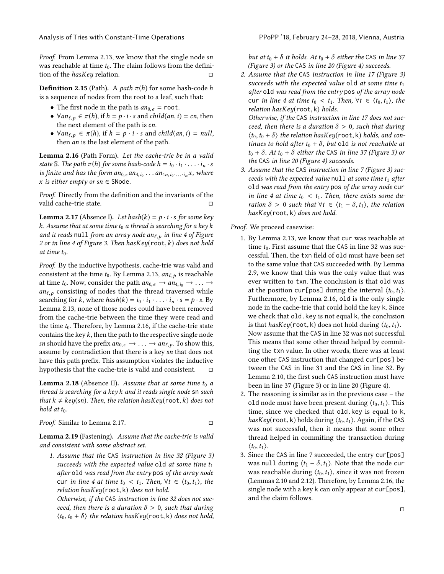Proof. From Lemma [2.13,](#page-5-3) we know that the single node sn was reachable at time  $t_0$ . The claim follows from the definition of the  $hasKey$  relation.

**Definition 2.15** (Path). A path  $\pi(h)$  for some hash-code h is a sequence of nodes from the root to a leaf, such that:

- The first node in the path is  $an_{0,\epsilon}$  = root.
- $\forall an_{\ell, p} \in \pi(h)$ , if  $h = p \cdot i \cdot s$  and child(an, i) = cn, then the next element of the path is cn.
- $\forall an_{\ell,p} \in \pi(h)$ , if  $h = p \cdot i \cdot s$  and child(an, i) = null, then an is the last element of the path.

<span id="page-6-0"></span>Lemma 2.16 (Path Form). Let the cache-trie be in a valid state S. The path  $\pi(h)$  for some hash-code  $h = i_0 \cdot i_1 \cdot \ldots \cdot i_n \cdot s$ is finite and has the form  $an_{0,\epsilon}an_{4,i_0} \ldots an_{4n,i_0 \ldots i_n}x$ , where <br>x is either empty or sn  $\epsilon$  SNode x is either empty or  $sn \in$  SNode.

Proof. Directly from the definition and the invariants of the valid cache-trie state. □

<span id="page-6-1"></span>**Lemma 2.17** (Absence I). Let hash(k) =  $p \cdot i \cdot s$  for some key k. Assume that at some time  $t_0$  a thread is searching for a key k and it reads null from an array node an $_{\ell,p}$  in line [4](#page-9-4) of Figure [2](#page-9-5) or in line [4](#page-9-6) of Figure [3.](#page-9-3) Then has $Key(root, k)$  does not hold at time  $t_0$ .

Proof. By the inductive hypothesis, cache-trie was valid and consistent at the time  $t_0$ . By Lemma [2.13,](#page-5-3)  $an_{\ell, p}$  is reachable at time  $t_0$ . Now, consider the path  $an_{0,\epsilon} \rightarrow an_{4,i_0} \rightarrow \ldots \rightarrow$  $an_{\ell,p}$  consisting of nodes that the thread traversed while searching for k, where  $hash(k) = i_0 \cdot i_1 \cdot \ldots \cdot i_n \cdot s = p \cdot s$ . By Lemma [2.13,](#page-5-3) none of those nodes could have been removed from the cache-trie between the time they were read and the time  $t_0$ . Therefore, by Lemma [2.16,](#page-6-0) if the cache-trie state contains the key  $k$ , then the path to the respective single node sn should have the prefix  $an_{0,\epsilon} \rightarrow \ldots \rightarrow an_{\ell,p}$ . To show this, assume by contradiction that there is a key sn that does not have this path prefix. This assumption violates the inductive hypothesis that the cache-trie is valid and consistent.  $□$ 

<span id="page-6-3"></span>**Lemma 2.18** (Absence II). Assume that at some time  $t_0$  a thread is searching for a key k and it reads single node  $\mathsf{sn}$  such that  $k \neq \text{key}(sn)$ . Then, the relation hasKey(root, k) does not hold at  $t_0$ .

Proof. Similar to Lemma [2.17.](#page-6-1) □

<span id="page-6-2"></span>Lemma 2.19 (Fastening). Assume that the cache-trie is valid and consistent with some abstract set.

1. Assume that the CAS instruction in line [32](#page-9-1) (Figure [3\)](#page-9-3) succeeds with the expected value old at some time  $t_1$ after old was read from the entry pos of the array node cur in line [4](#page-9-6) at time  $t_0 < t_1$ . Then,  $\forall t \in \langle t_0, t_1 \rangle$ , the relation hasKey(root, <sup>k</sup>) does not hold.

Otherwise, if the CAS instruction in line [32](#page-9-1) does not succeed, then there is a duration  $\delta > 0$ , such that during  $\langle t_0, t_0 + \delta \rangle$  the relation hasKey(root, k) does not hold,

but at  $t_0 + \delta$  it holds. At  $t_0 + \delta$  either the CAS in line [37](#page-9-2) (Figure [3\)](#page-9-3) or the CAS in line [20](#page-10-0) (Figure [4\)](#page-10-1) succeeds.

2. Assume that the CAS instruction in line [17](#page-9-0) (Figure [3\)](#page-9-3) succeeds with the expected value old at some time  $t_1$ after old was read from the entry pos of the array node cur in line [4](#page-9-6) at time  $t_0 < t_1$ . Then,  $\forall t \in \langle t_0, t_1 \rangle$ , the relation hasKey(root, <sup>k</sup>) holds.

Otherwise, if the CAS instruction in line [17](#page-9-0) does not succeed, then there is a duration  $\delta > 0$ , such that during  $\langle t_0,t_0 + \delta \rangle$  the relation hasKey(root, k) holds, and continues to hold after  $t_0 + \delta$ , but old is not reachable at  $t_0 + \delta$ . At  $t_0 + \delta$  either the CAS in line [37](#page-9-2) (Figure [3\)](#page-9-3) or the CAS in line [20](#page-10-0) (Figure [4\)](#page-10-1) succeeds.

3. Assume that the CAS instruction in line [7](#page-9-7) (Figure [3\)](#page-9-3) succeeds with the expected value null at some time  $t_1$  after old was read from the entry pos of the array node cur in line [4](#page-9-6) at time  $t_0 < t_1$ . Then, there exists some duration  $\delta > 0$  such that  $\forall t \in \langle t_1 - \delta, t_1 \rangle$ , the relation hasKey(root, <sup>k</sup>) does not hold.

Proof. We proceed casewise:

- 1. By Lemma [2.13,](#page-5-3) we know that cur was reachable at time  $t_0$ . First assume that the CAS in line [32](#page-9-1) was successful. Then, the txn field of old must have been set to the same value that CAS succeeded with. By Lemma [2.9,](#page-5-0) we know that this was the only value that was ever written to txn. The conclusion is that old was at the position cur[pos] during the interval  $\langle t_0, t_1 \rangle$ . Furthermore, by Lemma [2.16,](#page-6-0) old is the only single node in the cache-trie that could hold the key k. Since we check that old.key is not equal k, the conclusion is that hasKey(root, k) does not hold during  $\langle t_0, t_1 \rangle$ . Now assume that the CAS in line [32](#page-9-1) was not successful. This means that some other thread helped by committing the txn value. In other words, there was at least one other CAS instruction that changed cur[pos] between the CAS in line [31](#page-9-8) and the CAS in line [32.](#page-9-1) By Lemma [2.10,](#page-5-4) the first such CAS instruction must have been in line [37](#page-9-2) (Figure [3\)](#page-9-3) or in line [20](#page-10-0) (Figure [4\)](#page-10-1).
- 2. The reasoning is similar as in the previous case the old node must have been present during  $\langle t_0, t_1 \rangle$ . This time, since we checked that old.key is equal to k, hasKey(root, k) holds during  $\langle t_0, t_1 \rangle$ . Again, if the CAS was not successful, then it means that some other thread helped in commiting the transaction during  $\langle t_0,t_1\rangle$ .
- 3. Since the CAS in line [7](#page-9-7) succeeded, the entry cur[pos] was null during  $\langle t_1 - \delta, t_1 \rangle$ . Note that the node cur was reachable during  $\langle t_0, t_1 \rangle$ , since it was not frozen (Lemmas [2.10](#page-5-4) and [2.12\)](#page-5-2). Therefore, by Lemma [2.16,](#page-6-0) the single node with a key k can only appear at cur[pos], and the claim follows.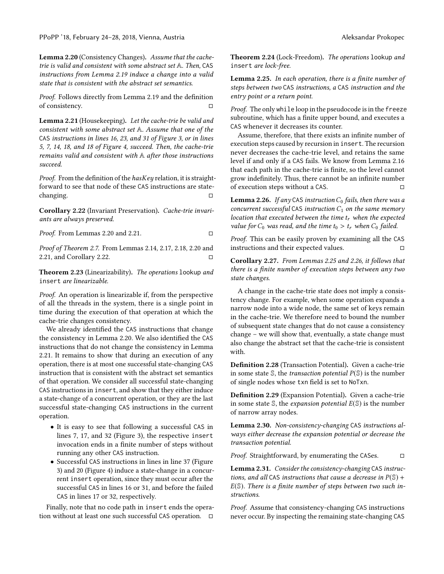PPoPP '18, February 24–28, 2018, Vienna, Austria Aleksandar Prokopec

<span id="page-7-0"></span>Lemma 2.20 (Consistency Changes). Assume that the cachetrie is valid and consistent with some abstract set A. Then, CAS instructions from Lemma [2.19](#page-6-2) induce a change into a valid state that is consistent with the abstract set semantics.

Proof. Follows directly from Lemma [2.19](#page-6-2) and the definition of consistency. □

<span id="page-7-1"></span>Lemma 2.21 (Housekeeping). Let the cache-trie be valid and consistent with some abstract set A. Assume that one of the CAS instructions in lines [16,](#page-9-9) [23,](#page-9-10) and [31](#page-9-8) of Figure [3,](#page-9-3) or in lines [5,](#page-10-3) [7,](#page-10-2) [14,](#page-10-4) [18,](#page-10-5) and [18](#page-10-5) of Figure [4,](#page-10-1) succeed. Then, the cache-trie remains valid and consistent with A after those instructions succeed.

Proof. From the definition of the  $hasKey$  relation, it is straightforward to see that node of these CAS instructions are statechanging. □

<span id="page-7-2"></span>Corollary 2.22 (Invariant Preservation). Cache-trie invariants are always preserved.

Proof. From Lemmas [2.20](#page-7-0) and [2.21.](#page-7-1) □

Proof of Theorem [2.7.](#page-5-5) From Lemmas [2.14,](#page-5-6) [2.17,](#page-6-1) [2.18,](#page-6-3) [2.20](#page-7-0) and [2.21,](#page-7-1) and Corollary [2.22.](#page-7-2)  $□$ 

<span id="page-7-9"></span>Theorem 2.23 (Linearizability). The operations lookup and insert are linearizable.

Proof. An operation is linearizable if, from the perspective of all the threads in the system, there is a single point in time during the execution of that operation at which the cache-trie changes consistency.

We already identified the CAS instructions that change the consistency in Lemma [2.20.](#page-7-0) We also identified the CAS instructions that do not change the consistency in Lemma [2.21.](#page-7-1) It remains to show that during an execution of any operation, there is at most one successful state-changing CAS instruction that is consistent with the abstract set semantics of that operation. We consider all successful state-changing CAS instructions in insert, and show that they either induce a state-change of a concurrent operation, or they are the last successful state-changing CAS instructions in the current operation.

- It is easy to see that following a successful CAS in lines [7,](#page-9-7) [17,](#page-9-0) and [32](#page-9-1) (Figure [3\)](#page-9-3), the respective insert invocation ends in a finite number of steps without running any other CAS instruction.
- Successful CAS instructions in lines in line [37](#page-9-2) (Figure [3\)](#page-9-3) and [20](#page-10-0) (Figure [4\)](#page-10-1) induce a state-change in a concurrent insert operation, since they must occur after the successful CAS in lines [16](#page-9-9) or [31,](#page-9-8) and before the failed CAS in lines [17](#page-9-0) or [32,](#page-9-1) respectively.

Finally, note that no code path in insert ends the operation without at least one such successful CAS operation. □

<span id="page-7-5"></span>Theorem 2.24 (Lock-Freedom). The operations lookup and insert are lock-free.

<span id="page-7-3"></span>Lemma 2.25. In each operation, there is a finite number of steps between two CAS instructions, a CAS instruction and the entry point or a return point.

Proof. The only while loop in the pseudocode is in the freeze subroutine, which has a finite upper bound, and executes a CAS whenever it decreases its counter.

Assume, therefore, that there exists an infinite number of execution steps caused by recursion in insert. The recursion never decreases the cache-trie level, and retains the same level if and only if a CAS fails. We know from Lemma [2.16](#page-6-0) that each path in the cache-trie is finite, so the level cannot grow indefinitely. Thus, there cannot be an infinite number of execution steps without a CAS.  $□$ 

<span id="page-7-4"></span>**Lemma 2.26.** If any CAS instruction  $C_0$  fails, then there was a concurrent successful CAS instruction  $C_1$  on the same memory location that executed between the time  $t_r$  when the expected value for  $C_0$  was read, and the time  $t_0 > t_r$  when  $C_0$  failed.

Proof. This can be easily proven by examining all the CAS instructions and their expected values.  $□$ 

<span id="page-7-6"></span>Corollary 2.27. From Lemmas [2.25](#page-7-3) and [2.26,](#page-7-4) it follows that there is a finite number of execution steps between any two state changes.

A change in the cache-trie state does not imply a consistency change. For example, when some operation expands a narrow node into a wide node, the same set of keys remain in the cache-trie. We therefore need to bound the number of subsequent state changes that do not cause a consistency change – we will show that, eventually, a state change must also change the abstract set that the cache-trie is consistent with.

Definition 2.28 (Transaction Potential). Given a cache-trie in some state  $\mathcal{S}$ , the *transaction potential*  $P(\mathcal{S})$  is the number of single nodes whose txn field is set to NoTxn.

Definition 2.29 (Expansion Potential). Given a cache-trie in some state  $\mathcal{S}$ , the *expansion potential*  $E(\mathcal{S})$  is the number of narrow array nodes.

<span id="page-7-7"></span>Lemma 2.30. Non-consistency-changing CAS instructions always either decrease the expansion potential or decrease the transaction potential.

Proof. Straightforward, by enumerating the CASes. □

<span id="page-7-8"></span>Lemma 2.31. Consider the consistency-changing CAS instructions, and all CAS instructions that cause a decrease in  $P(\mathbb{S})$  +  $E(S)$ . There is a finite number of steps between two such instructions.

Proof. Assume that consistency-changing CAS instructions never occur. By inspecting the remaining state-changing CAS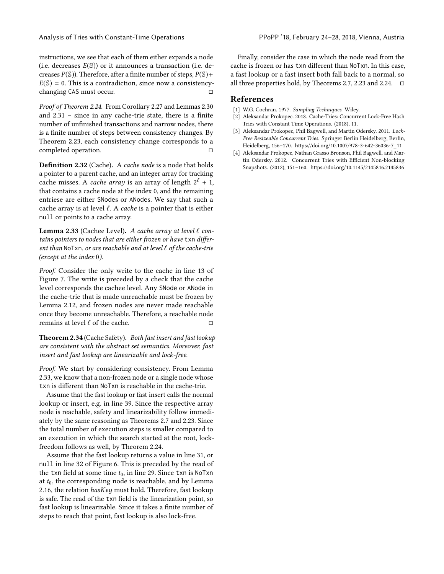instructions, we see that each of them either expands a node (i.e. decreases  $E(\mathbb{S})$ ) or it announces a transaction (i.e. decreases  $P(\mathbb{S})$ ). Therefore, after a finite number of steps,  $P(\mathbb{S})$ +  $E(S) = 0$ . This is a contradiction, since now a consistency-<br>changing CAS must occur. changing CAS must occur.

Proof of Theorem [2.24.](#page-7-5) From Corollary [2.27](#page-7-6) and Lemmas [2.30](#page-7-7) and [2.31](#page-7-8) – since in any cache-trie state, there is a finite number of unfinished transactions and narrow nodes, there is a finite number of steps between consistency changes. By Theorem [2.23,](#page-7-9) each consistency change corresponds to a completed operation. □

Definition 2.32 (Cache). A cache node is a node that holds a pointer to a parent cache, and an integer array for tracking cache misses. A *cache array* is an array of length  $2^{\ell} + 1$ , that contains a cache node at the index 0, and the remaining entriese are either SNodes or ANodes. We say that such a cache array is at level  $\ell$ . A cache is a pointer that is either null or points to a cache array.

<span id="page-8-4"></span>Lemma 2.33 (Cachee Level). A cache array at level  $\ell$  contains pointers to nodes that are either frozen or have txn different than NoTxn, or are reachable and at level  $\ell$  of the cache-trie (except at the index 0).

Proof. Consider the only write to the cache in line [13](#page-10-6) of Figure [7.](#page-10-7) The write is preceded by a check that the cache level corresponds the cachee level. Any SNode or ANode in the cache-trie that is made unreachable must be frozen by Lemma [2.12,](#page-5-2) and frozen nodes are never made reachable once they become unreachable. Therefore, a reachable node remains at level  $\ell$  of the cache.  $\Box$ 

Theorem 2.34 (Cache Safety). Both fast insert and fast lookup are consistent with the abstract set semantics. Moreover, fast insert and fast lookup are linearizable and lock-free.

Proof. We start by considering consistency. From Lemma [2.33,](#page-8-4) we know that a non-frozen node or a single node whose txn is different than NoTxn is reachable in the cache-trie.

Assume that the fast lookup or fast insert calls the normal lookup or insert, e.g. in line [39.](#page-10-8) Since the respective array node is reachable, safety and linearizability follow immediately by the same reasoning as Theorems [2.7](#page-5-5) and [2.23.](#page-7-9) Since the total number of execution steps is smaller compared to an execution in which the search started at the root, lockfreedom follows as well, by Theorem [2.24.](#page-7-5)

Assume that the fast lookup returns a value in line [31,](#page-10-9) or null in line [32](#page-10-10) of Figure [6.](#page-10-11) This is preceded by the read of the txn field at some time  $t_0$ , in line [29.](#page-10-12) Since txn is NoTxn at  $t_0$ , the corresponding node is reachable, and by Lemma [2.16,](#page-6-0) the relation hasKey must hold. Therefore, fast lookup is safe. The read of the txn field is the linearization point, so fast lookup is linearizable. Since it takes a finite number of steps to reach that point, fast lookup is also lock-free.

Finally, consider the case in which the node read from the cache is frozen or has txn different than NoTxn. In this case, a fast lookup or a fast insert both fall back to a normal, so all three properties hold, by Theorems [2.7,](#page-5-5) [2.23](#page-7-9) and [2.24.](#page-7-5)  $□$ 

# References

- <span id="page-8-3"></span>[1] W.G. Cochran. 1977. Sampling Techniques. Wiley.
- <span id="page-8-2"></span>[2] Aleksandar Prokopec. 2018. Cache-Tries: Concurrent Lock-Free Hash Tries with Constant Time Operations. (2018), 11.
- <span id="page-8-1"></span>[3] Aleksandar Prokopec, Phil Bagwell, and Martin Odersky. 2011. Lock-Free Resizeable Concurrent Tries. Springer Berlin Heidelberg, Berlin, Heidelberg, 156–170. [https://doi.org/10.1007/978-3-642-36036-7\\_11](https://doi.org/10.1007/978-3-642-36036-7_11)
- <span id="page-8-0"></span>[4] Aleksandar Prokopec, Nathan Grasso Bronson, Phil Bagwell, and Martin Odersky. 2012. Concurrent Tries with Efficient Non-blocking Snapshots. (2012), 151–160. <https://doi.org/10.1145/2145816.2145836>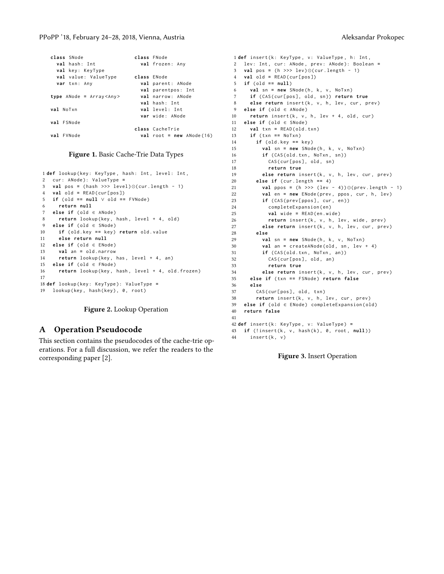| class SNode                 | class FNode                |
|-----------------------------|----------------------------|
| val hash: Int               | val frozen: Any            |
| val key: KeyType            |                            |
| <b>val</b> value: ValueType | class ENode                |
| var txn: Any                | val parent: ANode          |
|                             | val parentpos: Int         |
| type ANode = $Array$        | val narrow: ANode          |
|                             | val hash: Int              |
| val NoTxn                   | val level: Int             |
|                             | var wide: ANode            |
| val FSNode                  |                            |
|                             | class CacheTrie            |
| val FVNode                  | $val$ root = new ANode(16) |



<span id="page-9-5"></span><span id="page-9-4"></span>1 def lookup (key: KeyType, hash: Int, level: Int, cur : ANode ): ValueType **= val** pos **=** ( hash >>> level )⊙( cur . length - 1) **val** old **=** READ ( cur [ pos ]) **if** ( old **= = null** ∨ old **= =** FVNode ) **return null else if** ( old ∈ ANode ) **return** lookup (key, hash, level + 4, old) **else if** (old ∈ SNode) **if** ( old . key **= =** key ) **return** old . value **else return null else if** ( old ∈ ENode ) **val** an **=** old . narrow **return** lookup (key, has, level + 4, an) **else if** ( old ∈ FNode ) **return** lookup (key, hash, level + 4, old. frozen) 17 **def** lookup ( key : KeyType ): ValueType **=** 19 lookup (key, hash (key), 0, root)

#### Figure 2. Lookup Operation

## A Operation Pseudocode

This section contains the pseudocodes of the cache-trie operations. For a full discussion, we refer the readers to the corresponding paper [\[2\]](#page-8-2).

```
1 def insert (k: KeyType, v: ValueType, h: Int,
  2 lev: Int, cur: ANode, prev: ANode): Boolean =
  3 val pos = ( h >>> lev )⊙( cur . length - 1)
  4 val old = READ ( cur [ pos ])
  5 if ( old = = null )
  6 val \text{sn} = new \text{SNode}(h, k, v, NoTxn)7 if ( CAS ( cur [ pos ] , old , sn )) return true
  8 else return insert (k, v, h, lev, cur, prev)
  9 else if ( old ∈ ANode )
 10 return insert (k, v, h, lev + 4, old, cur)
 11 else if ( old ∈ SNode )
 12 val txn = READ ( old . txn )
 13 if ( txn = = NoTxn )
 14 if ( old . key = = key )
 15 val sn = new SNode(h, k, v, NoTxn)
 16 if (CAS ( old . txn, NoTxn, sn ) )
 17 CAS ( cur [pos ], old, sn)
 18 return true
          else return insert (k, v, h, lev, cur, prev)
 20 else if ( cur . length = = 4)
 21 val ppos = ( h >>> ( lev - 4)) ⊙( prev . length - 1)
22 val en = new ENode (prev, ppos, cur, h, lev)
23 if (CAS(prev[ppos], cur, en))<br>24 completeExpansion(en)
            completeExpansion (en)
25 val wide = READ ( en . wide )
26 return insert (k, v, h, lev, wide, prev)
 27 else return insert (k, v, h, lev, cur, prev)
 28 else
 29 val sn = new SNode(h, k, v, NoTxn)
 30 val an = createANode ( old , sn , lev + 4)
 31 if (CAS(old.txn, NoTxn, an))
 32 CAS ( cur [ pos ] , old , an )
 33 return true
 34 else return insert (k, v, h, lev, cur, prev)
 35 else if ( txn = = FSNode ) return false
 36 else
        CAS ( cur [ pos ], old, txn )
 38 return insert (k, v, h, lev, cur, prev)
 39 else if ( old ∈ ENode ) completeExpansion ( old )
 40 return false
 41
 42 def insert ( k : KeyType , v : ValueType ) =
 43 if (! insert (k , v , hash ( k ) , 0 , root , null ))
 44 insert (k, v)
```
<span id="page-9-8"></span><span id="page-9-2"></span><span id="page-9-1"></span>Figure 3. Insert Operation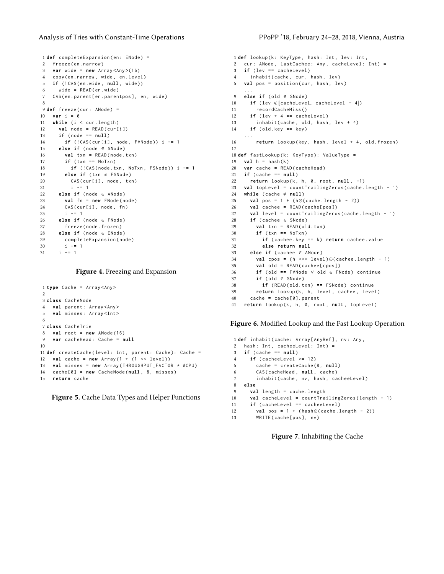#### Analysis of Tries with Constant-Time Operations PPoPP '18, February 24–28, 2018, Vienna, Austria

```
1 def completeExpansion ( en : ENode ) =
2 freeze (en. narrow)
3 var wide = new Array < Any >(16)
4 copy ( en . narrow , wide , en . level )
5 if (!CAS(en.wide, null, wide))
6 wide = READ ( en . wide )
7 CAS (en.parent [en.parentpos], en, wide)
 8
9 def freeze ( cur : ANode ) =
10 var i = 0
11 while (i < cur.length)
12 val node = READ ( cur [ i ])
13 if ( node = = null )
14 if (! CAS ( cur [ i ] , node , FVNode )) i -= 1
15 else if ( node ∈ SNode )
16 val txn = READ ( node . txn )
17 if ( txn = = NoTxn )
18 if (! CAS ( node . txn , NoTxn , FSNode )) i -= 1
19 else if (txn \neq FSNode)
20 CAS(cur[i], node, txn)
21 i -= 1
22 else if ( node ∈ ANode )
23 val fn = new FNode ( node )
24 CAS(cur[i], node, fn)
25 i -= 1
26 else if ( node ∈ FNode )
27 freeze ( node . frozen )
28 else if ( node ∈ ENode )
29 completeExpansion ( node )
30 i -= 1
31 i += 1
```
### <span id="page-10-5"></span><span id="page-10-0"></span>Figure 4. Freezing and Expansion

```
1 type Cache = Array < Any >
\overline{2}3 class CacheNode
4 val parent: Array <Any>
5 val misses: Array<Int>
 6
7 class CacheTrie
8 val root = new ANode (16)
9 var cacheHead : Cache = null
10
11 def createCache ( level : Int , parent : Cache ): Cache =
12 val cache = new Array (1 + (1 << level ))
13 val misses = new Array ( THROUGHPUT_FACTOR * #CPU )
14 cache [0] = new CacheNode (null , 8 , misses )
15 return cache
```
Figure 5. Cache Data Types and Helper Functions

```
1 def lookup (k: KeyType, hash: Int, lev: Int,
2 cur: ANode, lastCachee: Any, cacheLevel: Int) =
3 if ( lev = = cacheLevel )
4 inhabit (cache, cur, hash, lev)
5 val pos = position (cur, hash, lev)
     ...
9 else if ( old ∈ SNode )
10 if (lev ∉[cacheLevel, cacheLevel + 4])<br>11 recordCacheMiss()
       11 recordCacheMiss ()
12 if (lev + 4 == cacheLevel)<br>13 inhabit(cache, old, hash
        inhabit ( cache, old, hash, lev + 4)14 if ( old . key = = key )
     ...
16 return lookup (key, hash, level + 4, old. frozen)
17
18 def fastLookup ( k : KeyType ): ValueType =
19 \text{val } h = \text{hash}(k)20 var cache = READ ( cacheHead )
21 if (cache == null)<br>22 return lookup(k,
    return lookup (k, h, 0, root, null, -1)
23 val topLevel = countTrailingZeros ( cache . length - 1)
24 while (cache \neq null)
25 val pos = 1 + ( h⊙( cache . length - 2))
26 val cachee = READ ( cache [ pos ])
27 val level = countTrailingZeros ( cache . length - 1)
28 if ( cachee ∈ SNode )
29 val txn = READ ( old . txn )
30 if ( txn = = NoTxn )
31 if ( cachee . key = = k ) return cachee . value
32 else return null
33 else if ( cachee ∈ ANode )
34 val cpos = ( h >>> level )⊙( cachee . length - 1)
35 val old = READ ( cachee [ cpos ])
36 if ( old = = FVNode ∨ old ∈ FNode ) continue
37 if ( old ∈ SNode )
38 if (READ(old.txn) == FSNode) continue<br>39 return lookup(k, h, level, cachee, leve
        return lookup (k, h, level, cachee, level)
40 cache = cache [0]. parent
41 return lookup (k, h, 0, root, null, topLevel)
```
<span id="page-10-12"></span><span id="page-10-10"></span><span id="page-10-9"></span><span id="page-10-8"></span>Figure 6. Modified Lookup and the Fast Lookup Operation

```
1 def inhabit ( cache : Array [ AnyRef ] , nv : Any ,
2 hash: Int, cacheeLevel: Int) =
3 if ( cache = = null )
4 if ( cacheeLevel >= 12)
5 cache = createCache (8 , null )
6 CAS ( cacheHead , null , cache )
7 inhabit (cache, nv, hash, cacheeLevel)
8 else
9 val length = cache . length
10 val cacheLevel = countTrailingZeros ( length - 1)
11 if ( cacheLevel = = cacheeLevel )
12 val pos = 1 + (hash⊙(cache.length - 2))<br>13 WRTTF(cache[pos] nv)
        WRITE ( cache [ pos ], nv )
```
<span id="page-10-6"></span>Figure 7. Inhabiting the Cache